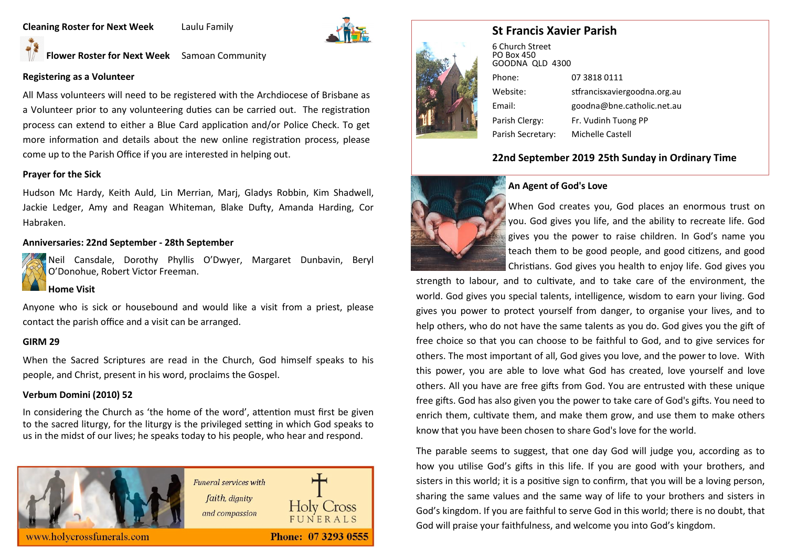### **Cleaning Roster for Next Week** Laulu Family



# **St Francis Xavier Parish**



6 Church Street PO Box 450 GOODNA QLD 4300 Phone: 07 3818 0111 Website: stfrancisxaviergoodna.org.au Email: goodna@bne.catholic.net.au Parish Clergy: Fr. Vudinh Tuong PP Parish Secretary: Michelle Castell

## **22nd September 2019 25th Sunday in Ordinary Time**



#### **An Agent of God's Love**

When God creates you, God places an enormous trust on you. God gives you life, and the ability to recreate life. God gives you the power to raise children. In God's name you teach them to be good people, and good citizens, and good Christians. God gives you health to enjoy life. God gives you

strength to labour, and to cultivate, and to take care of the environment, the world. God gives you special talents, intelligence, wisdom to earn your living. God gives you power to protect yourself from danger, to organise your lives, and to help others, who do not have the same talents as you do. God gives you the gift of free choice so that you can choose to be faithful to God, and to give services for others. The most important of all, God gives you love, and the power to love. With this power, you are able to love what God has created, love yourself and love others. All you have are free gifts from God. You are entrusted with these unique free gifts. God has also given you the power to take care of God's gifts. You need to enrich them, cultivate them, and make them grow, and use them to make others know that you have been chosen to share God's love for the world.

The parable seems to suggest, that one day God will judge you, according as to how you utilise God's gifts in this life. If you are good with your brothers, and sisters in this world; it is a positive sign to confirm, that you will be a loving person, sharing the same values and the same way of life to your brothers and sisters in God's kingdom. If you are faithful to serve God in this world; there is no doubt, that God will praise your faithfulness, and welcome you into God's kingdom.

# **Flower Roster for Next Week** Samoan Community

#### **Registering as a Volunteer**

All Mass volunteers will need to be registered with the Archdiocese of Brisbane as a Volunteer prior to any volunteering duties can be carried out. The registration process can extend to either a Blue Card application and/or Police Check. To get more information and details about the new online registration process, please come up to the Parish Office if you are interested in helping out.

#### **Prayer for the Sick**

Hudson Mc Hardy, Keith Auld, Lin Merrian, Marj, Gladys Robbin, Kim Shadwell, Jackie Ledger, Amy and Reagan Whiteman, Blake Dufty, Amanda Harding, Cor Habraken.

#### **Anniversaries: 22nd September - 28th September**



Neil Cansdale, Dorothy Phyllis O'Dwyer, Margaret Dunbavin, Beryl O'Donohue, Robert Victor Freeman.

#### **Home Visit**

Anyone who is sick or housebound and would like a visit from a priest, please contact the parish office and a visit can be arranged.

#### **GIRM 29**

When the Sacred Scriptures are read in the Church, God himself speaks to his people, and Christ, present in his word, proclaims the Gospel.

#### **Verbum Domini (2010) 52**

In considering the Church as 'the home of the word', attention must first be given to the sacred liturgy, for the liturgy is the privileged setting in which God speaks to us in the midst of our lives; he speaks today to his people, who hear and respond.